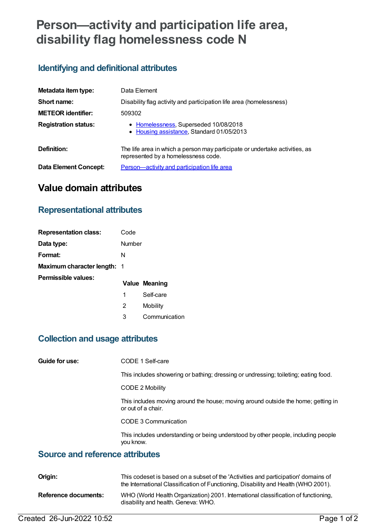# **Person—activity and participation life area, disability flag homelessness code N**

#### **Identifying and definitional attributes**

| Metadata item type:         | Data Element                                                                                                       |
|-----------------------------|--------------------------------------------------------------------------------------------------------------------|
| Short name:                 | Disability flag activity and participation life area (homelessness)                                                |
| <b>METEOR identifier:</b>   | 509302                                                                                                             |
| <b>Registration status:</b> | • Homelessness, Superseded 10/08/2018<br>• Housing assistance, Standard 01/05/2013                                 |
| Definition:                 | The life area in which a person may participate or undertake activities, as<br>represented by a homelessness code. |
| Data Element Concept:       | Person-activity and participation life area                                                                        |

## **Value domain attributes**

#### **Representational attributes**

| <b>Representation class:</b>       | Code   |               |
|------------------------------------|--------|---------------|
| Data type:                         | Number |               |
| Format:                            | N      |               |
| <b>Maximum character length: 1</b> |        |               |
| Permissible values:                |        | Value Meaning |
|                                    | 1      | Self-care     |
|                                    | 2      | Mobility      |
|                                    | 3      | Communication |

#### **Collection and usage attributes**

| Guide for use: | CODE 1 Self-care |
|----------------|------------------|
|----------------|------------------|

This includes showering or bathing; dressing or undressing; toileting; eating food.

CODE 2 Mobility

This includes moving around the house; moving around outside the home; getting in or out of a chair.

CODE 3 Communication

This includes understanding or being understood by other people, including people you know.

#### **Source and reference attributes**

| Origin:              | This codeset is based on a subset of the 'Activities and participation' domains of<br>the International Classification of Functioning, Disability and Health (WHO 2001). |
|----------------------|--------------------------------------------------------------------------------------------------------------------------------------------------------------------------|
| Reference documents: | WHO (World Health Organization) 2001. International classification of functioning,<br>disability and health. Geneva: WHO.                                                |